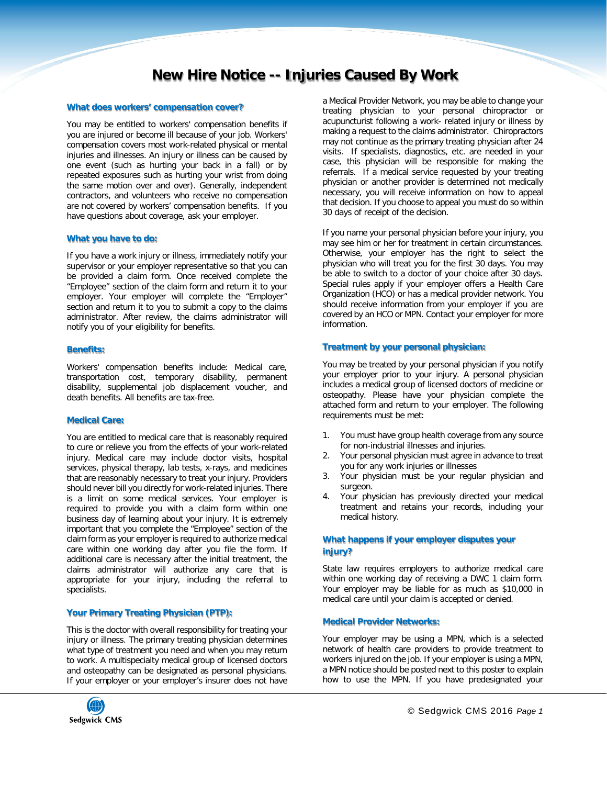# **New Hire Notice -- Injuries Caused By Work**

#### **What does workers' compensation cover?**

You may be entitled to workers' compensation benefits if you are injured or become ill because of your job. Workers' compensation covers most work-related physical or mental injuries and illnesses. An injury or illness can be caused by one event (such as hurting your back in a fall) or by repeated exposures such as hurting your wrist from doing the same motion over and over). Generally, independent contractors, and volunteers who receive no compensation are not covered by workers' compensation benefits. If you have questions about coverage, ask your employer.

#### **What you have to do:**

If you have a work injury or illness, immediately notify your supervisor or your employer representative so that you can be provided a claim form. Once received complete the "Employee" section of the claim form and return it to your employer. Your employer will complete the "Employer" section and return it to you to submit a copy to the claims administrator. After review, the claims administrator will notify you of your eligibility for benefits.

#### **Benefits:**

Workers' compensation benefits include: Medical care, transportation cost, temporary disability, permanent disability, supplemental job displacement voucher, and death benefits. All benefits are tax-free.

#### **Medical Care:**

You are entitled to medical care that is reasonably required to cure or relieve you from the effects of your work-related injury. Medical care may include doctor visits, hospital services, physical therapy, lab tests, x-rays, and medicines that are reasonably necessary to treat your injury. Providers should never bill you directly for work-related injuries. There is a limit on some medical services. Your employer is required to provide you with a claim form within one business day of learning about your injury. It is extremely important that you complete the "Employee" section of the claim form as your employer is required to authorize medical care within one working day after you file the form. If additional care is necessary after the initial treatment, the claims administrator will authorize any care that is appropriate for your injury, including the referral to specialists.

#### **Your Primary Treating Physician (PTP):**

This is the doctor with overall responsibility for treating your injury or illness. The primary treating physician determines what type of treatment you need and when you may return to work. A multispecialty medical group of licensed doctors and osteopathy can be designated as personal physicians. If your employer or your employer's insurer does not have



If you name your personal physician before your injury, you may see him or her for treatment in certain circumstances. Otherwise, your employer has the right to select the physician who will treat you for the first 30 days. You may be able to switch to a doctor of your choice after 30 days. Special rules apply if your employer offers a Health Care Organization (HCO) or has a medical provider network. You should receive information from your employer if you are covered by an HCO or MPN. Contact your employer for more information.

#### **Treatment by your personal physician:**

You may be treated by your personal physician if you notify your employer prior to your injury. A personal physician includes a medical group of licensed doctors of medicine or osteopathy. Please have your physician complete the attached form and return to your employer. The following requirements must be met:

- 1. You must have group health coverage from any source for non-industrial illnesses and injuries.
- 2. Your personal physician must agree in advance to treat you for any work injuries or illnesses
- 3. Your physician must be your regular physician and surgeon.
- 4. Your physician has previously directed your medical treatment and retains your records, including your medical history.

#### **What happens if your employer disputes your injury?**

State law requires employers to authorize medical care within one working day of receiving a DWC 1 claim form. Your employer may be liable for as much as \$10,000 in medical care until your claim is accepted or denied.

#### **Medical Provider Networks:**

Your employer may be using a MPN, which is a selected network of health care providers to provide treatment to workers injured on the job. If your employer is using a MPN, a MPN notice should be posted next to this poster to explain how to use the MPN. If you have predesignated your

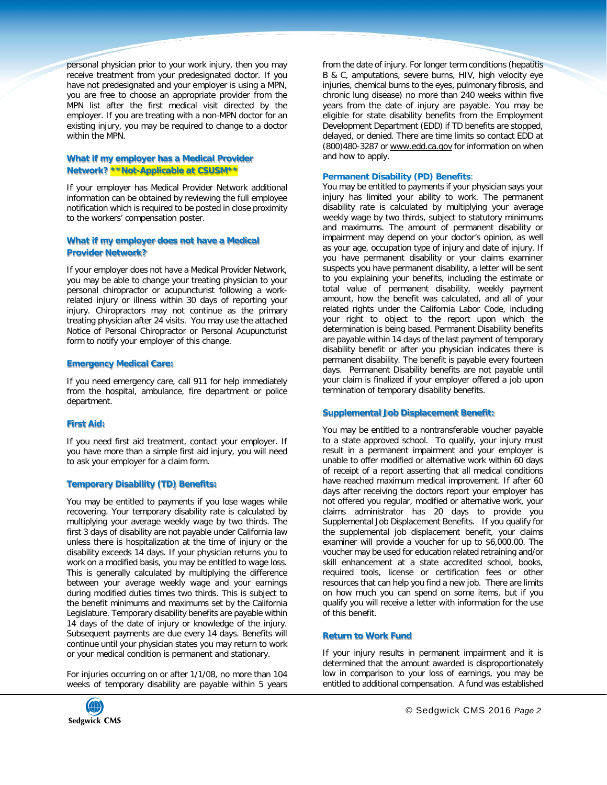personal physician prior to your work injury, then you may receive treatment from your predesignated doctor. If you have not predesignated and your employer is using a MPN, you are free to choose an appropriate provider from the MPN list after the first medical visit directed by the employer. If you are treating with a non-MPN doctor for an existing injury, you may be required to change to a doctor within the MPN.

# **What if my employer has a Medical Provider Network? \*\*Not-Applicable at CSUSM\*\***

If your employer has Medical Provider Network additional information can be obtained by reviewing the full employee notification which is required to be posted in close proximity to the workers' compensation poster.

# **What if my employer does not have a Medical Provider Network?**

If your employer does not have a Medical Provider Network, you may be able to change your treating physician to your personal chiropractor or acupuncturist following a workrelated injury or illness within 30 days of reporting your injury. Chiropractors may not continue as the primary treating physician after 24 visits. You may use the attached Notice of Personal Chiropractor or Personal Acupuncturist form to notify your employer of this change.

#### **Emergency Medical Care:**

If you need emergency care, call 911 for help immediately from the hospital, ambulance, fire department or police department.

# **First Aid:**

If you need first aid treatment, contact your employer. If you have more than a simple first aid injury, you will need to ask your employer for a claim form.

# **Temporary Disability (TD) Benefits:**

You may be entitled to payments if you lose wages while recovering. Your temporary disability rate is calculated by multiplying your average weekly wage by two thirds. The first 3 days of disability are not payable under California law unless there is hospitalization at the time of injury or the disability exceeds 14 days. If your physician returns you to work on a modified basis, you may be entitled to wage loss. This is generally calculated by multiplying the difference between your average weekly wage and your earnings during modified duties times two thirds. This is subject to the benefit minimums and maximums set by the California Legislature. Temporary disability benefits are payable within 14 days of the date of injury or knowledge of the injury. Subsequent payments are due every 14 days. Benefits will continue until your physician states you may return to work or your medical condition is permanent and stationary.

For injuries occurring on or after 1/1/08, no more than 104 weeks of temporary disability are payable within 5 years from the date of injury. For longer term conditions (hepatitis B & C, amputations, severe burns, HIV, high velocity eye injuries, chemical burns to the eyes, pulmonary fibrosis, and chronic lung disease) no more than 240 weeks within five years from the date of injury are payable. You may be eligible for state disability benefits from the Employment Development Department (EDD) if TD benefits are stopped, delayed, or denied. There are time limits so contact EDD at (800)480-3287 o[r www.edd.ca.gov](http://www.edd.ca.gov/) for information on when and how to apply.

#### **Permanent Disability (PD) Benefits**:

You may be entitled to payments if your physician says your injury has limited your ability to work. The permanent disability rate is calculated by multiplying your average weekly wage by two thirds, subject to statutory minimums and maximums. The amount of permanent disability or impairment may depend on your doctor's opinion, as well as your age, occupation type of injury and date of injury. If you have permanent disability or your claims examiner suspects you have permanent disability, a letter will be sent to you explaining your benefits, including the estimate or total value of permanent disability, weekly payment amount, how the benefit was calculated, and all of your related rights under the California Labor Code, including your right to object to the report upon which the determination is being based. Permanent Disability benefits are payable within 14 days of the last payment of temporary disability benefit or after you physician indicates there is permanent disability. The benefit is payable every fourteen days. Permanent Disability benefits are not payable until your claim is finalized if your employer offered a job upon termination of temporary disability benefits.

# **Supplemental Job Displacement Benefit:**

You may be entitled to a nontransferable voucher payable to a state approved school. To qualify, your injury must result in a permanent impairment and your employer is unable to offer modified or alternative work within 60 days of receipt of a report asserting that all medical conditions have reached maximum medical improvement. If after 60 days after receiving the doctors report your employer has not offered you regular, modified or alternative work, your claims administrator has 20 days to provide you Supplemental Job Displacement Benefits. If you qualify for the supplemental job displacement benefit, your claims examiner will provide a voucher for up to \$6,000.00. The voucher may be used for education related retraining and/or skill enhancement at a state accredited school, books, required tools, license or certification fees or other resources that can help you find a new job. There are limits on how much you can spend on some items, but if you qualify you will receive a letter with information for the use of this benefit.

# **Return to Work Fund**

If your injury results in permanent impairment and it is determined that the amount awarded is disproportionately low in comparison to your loss of earnings, you may be entitled to additional compensation. A fund was established

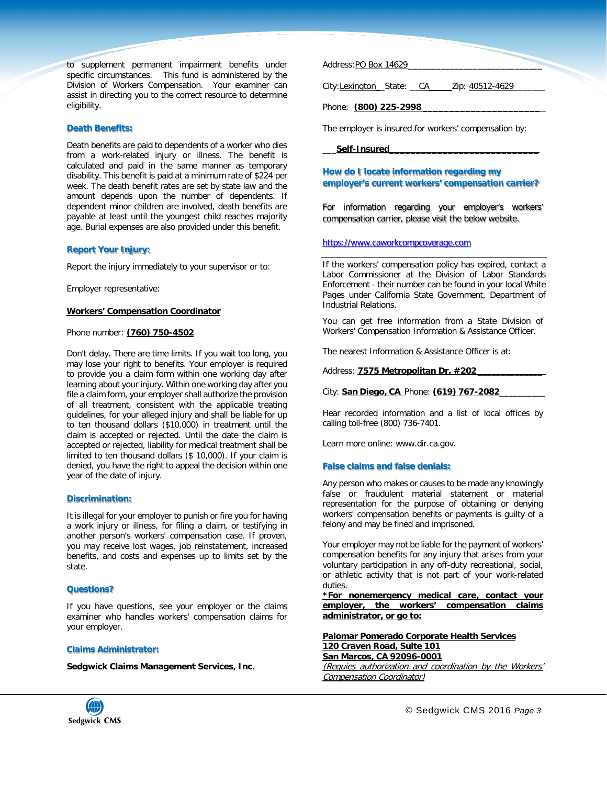to supplement permanent impairment benefits under specific circumstances. This fund is administered by the Division of Workers Compensation. Your examiner can assist in directing you to the correct resource to determine eligibility.

#### **Death Benefits:**

Death benefits are paid to dependents of a worker who dies from a work-related injury or illness. The benefit is calculated and paid in the same manner as temporary disability. This benefit is paid at a minimum rate of \$224 per week. The death benefit rates are set by state law and the amount depends upon the number of dependents. If dependent minor children are involved, death benefits are payable at least until the youngest child reaches majority age. Burial expenses are also provided under this benefit.

#### **Report Your Injury:**

Report the injury immediately to your supervisor or to:

Employer representative:

#### **Workers' Compensation Coordinator**

#### Phone number: **(760) 750-4502**

Don't delay. There are time limits. If you wait too long, you may lose your right to benefits. Your employer is required to provide you a claim form within one working day after learning about your injury. Within one working day after you file a claim form, your employer shall authorize the provision of all treatment, consistent with the applicable treating guidelines, for your alleged injury and shall be liable for up to ten thousand dollars (\$10,000) in treatment until the claim is accepted or rejected. Until the date the claim is accepted or rejected, liability for medical treatment shall be limited to ten thousand dollars (\$ 10,000). If your claim is denied, you have the right to appeal the decision within one year of the date of injury.

#### **Discrimination:**

It is illegal for your employer to punish or fire you for having a work injury or illness, for filing a claim, or testifying in another person's workers' compensation case. If proven, you may receive lost wages, job reinstatement, increased benefits, and costs and expenses up to limits set by the state.

#### **Questions?**

If you have questions, see your employer or the claims examiner who handles workers' compensation claims for your employer.

#### **Claims Administrator:**

**Sedgwick Claims Management Services, Inc.**

Address:PO Box 14629

City:Lexington State: CA \_\_\_\_ Zip: 40512-4629

Phone: **(800) 225-2998 \_\_\_\_\_\_\_\_\_\_\_\_\_\_\_\_\_\_\_\_\_\_**

The employer is insured for workers' compensation by:

#### \_\_\_**Self-Insured\_\_\_\_\_\_\_\_\_\_\_\_\_\_\_\_\_\_\_\_\_\_\_\_\_\_\_\_**

# **How do I locate information regarding my employer's current workers' compensation carrier?**

For information regarding your employer's workers' compensation carrier, please visit the below website.

#### [https://www.caworkcompcoverage.com](https://www.caworkcompcoverage.com/)

If the workers' compensation policy has expired, contact a Labor Commissioner at the Division of Labor Standards Enforcement - their number can be found in your local White Pages under California State Government, Department of Industrial Relations.

You can get free information from a State Division of Workers' Compensation Information & Assistance Officer.

The nearest Information & Assistance Officer is at:

Address: **7575 Metropolitan Dr. #202**\_\_\_\_\_\_\_\_\_\_\_\_\_\_

City: **San Diego, CA** Phone: **(619) 767-2082**\_\_\_\_\_\_\_\_\_\_

Hear recorded information and a list of local offices by calling toll-free (800) 736-7401.

Learn more online: [www.dir.ca.gov.](http://www.dir.ca.gov/)

#### **False claims and false denials:**

Any person who makes or causes to be made any knowingly false or fraudulent material statement or material representation for the purpose of obtaining or denying workers' compensation benefits or payments is guilty of a felony and may be fined and imprisoned.

Your employer may not be liable for the payment of workers' compensation benefits for any injury that arises from your voluntary participation in any off-duty recreational, social, or athletic activity that is not part of your work-related duties.

**\*For nonemergency medical care, contact your employer, the workers' compensation claims administrator, or go to:**

**Palomar Pomerado Corporate Health Services 120 Craven Road, Suite 101 San Marcos, CA 92096-0001**

(Requies authorization and coordination by the Workers' Compensation Coordinator)

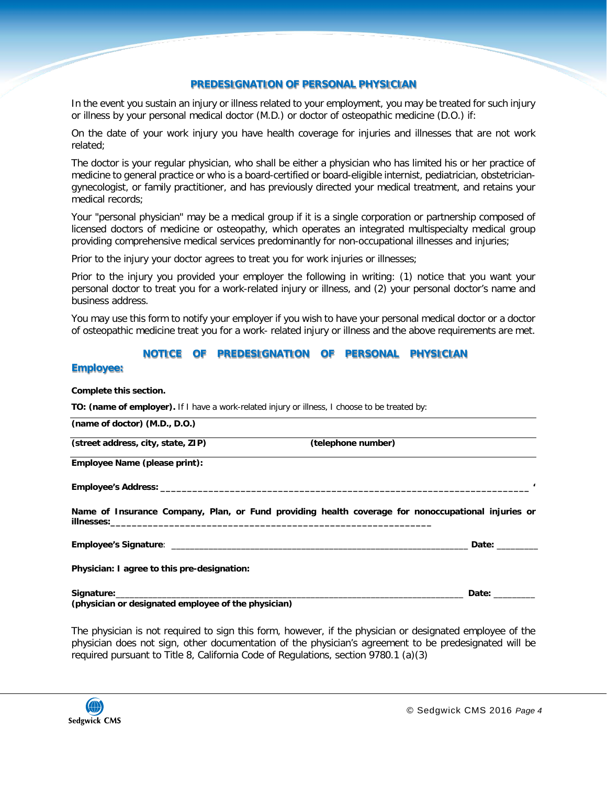# **PREDESIGNATION OF PERSONAL PHYSICIAN**

In the event you sustain an injury or illness related to your employment, you may be treated for such injury or illness by your personal medical doctor (M.D.) or doctor of osteopathic medicine (D.O.) if:

On the date of your work injury you have health coverage for injuries and illnesses that are not work related;

The doctor is your regular physician, who shall be either a physician who has limited his or her practice of medicine to general practice or who is a board-certified or board-eligible internist, pediatrician, obstetriciangynecologist, or family practitioner, and has previously directed your medical treatment, and retains your medical records;

Your "personal physician" may be a medical group if it is a single corporation or partnership composed of licensed doctors of medicine or osteopathy, which operates an integrated multispecialty medical group providing comprehensive medical services predominantly for non-occupational illnesses and injuries;

Prior to the injury your doctor agrees to treat you for work injuries or illnesses;

Prior to the injury you provided your employer the following in writing: (1) notice that you want your personal doctor to treat you for a work-related injury or illness, and (2) your personal doctor's name and business address.

You may use this form to notify your employer if you wish to have your personal medical doctor or a doctor of osteopathic medicine treat you for a work- related injury or illness and the above requirements are met.

# **NOTICE OF PREDESIGNATION OF PERSONAL PHYSICIAN**

# **Employee:**

**Complete this section.**

**TO: (name of employer).** If I have a work-related injury or illness, I choose to be treated by:

**(name of doctor) (M.D., D.O.)**

**(street address, city, state, ZIP) (telephone number)**

**Employee Name (please print):**

**Employee's Address: \_\_\_\_\_\_\_\_\_\_\_\_\_\_\_\_\_\_\_\_\_\_\_\_\_\_\_\_\_\_\_\_\_\_\_\_\_\_\_\_\_\_\_\_\_\_\_\_\_\_\_\_\_\_\_\_\_\_\_\_\_\_\_\_\_\_\_\_\_ '**

**Name of Insurance Company, Plan, or Fund providing health coverage for nonoccupational injuries or illnesses:\_\_\_\_\_\_\_\_\_\_\_\_\_\_\_\_\_\_\_\_\_\_\_\_\_\_\_\_\_\_\_\_\_\_\_\_\_\_\_\_\_\_\_\_\_\_\_\_\_\_\_\_\_\_\_\_\_\_\_\_**

**Employee's Signature**: \_\_\_\_\_\_\_\_\_\_\_\_\_\_\_\_\_\_\_\_\_\_\_\_\_\_\_\_\_\_\_\_\_\_\_\_\_\_\_\_\_\_\_\_\_\_\_\_\_\_\_\_\_\_\_\_\_\_\_\_\_\_\_\_ **Date:** \_\_\_\_\_\_\_\_\_

**Physician: I agree to this pre-designation:**

**Signature:**\_\_\_\_\_\_\_\_\_\_\_\_\_\_\_\_\_\_\_\_\_\_\_\_\_\_\_\_\_\_\_\_\_\_\_\_\_\_\_\_\_\_\_\_\_\_\_\_\_\_\_\_\_\_\_\_\_\_\_\_\_\_\_\_\_\_\_\_\_\_\_\_\_\_\_ **Date:** \_\_\_\_\_\_\_\_\_ **(physician or designated employee of the physician)**

The physician is not required to sign this form, however, if the physician or designated employee of the physician does not sign, other documentation of the physician's agreement to be predesignated will be required pursuant to Title 8, California Code of Regulations, section 9780.1 (a)(3)